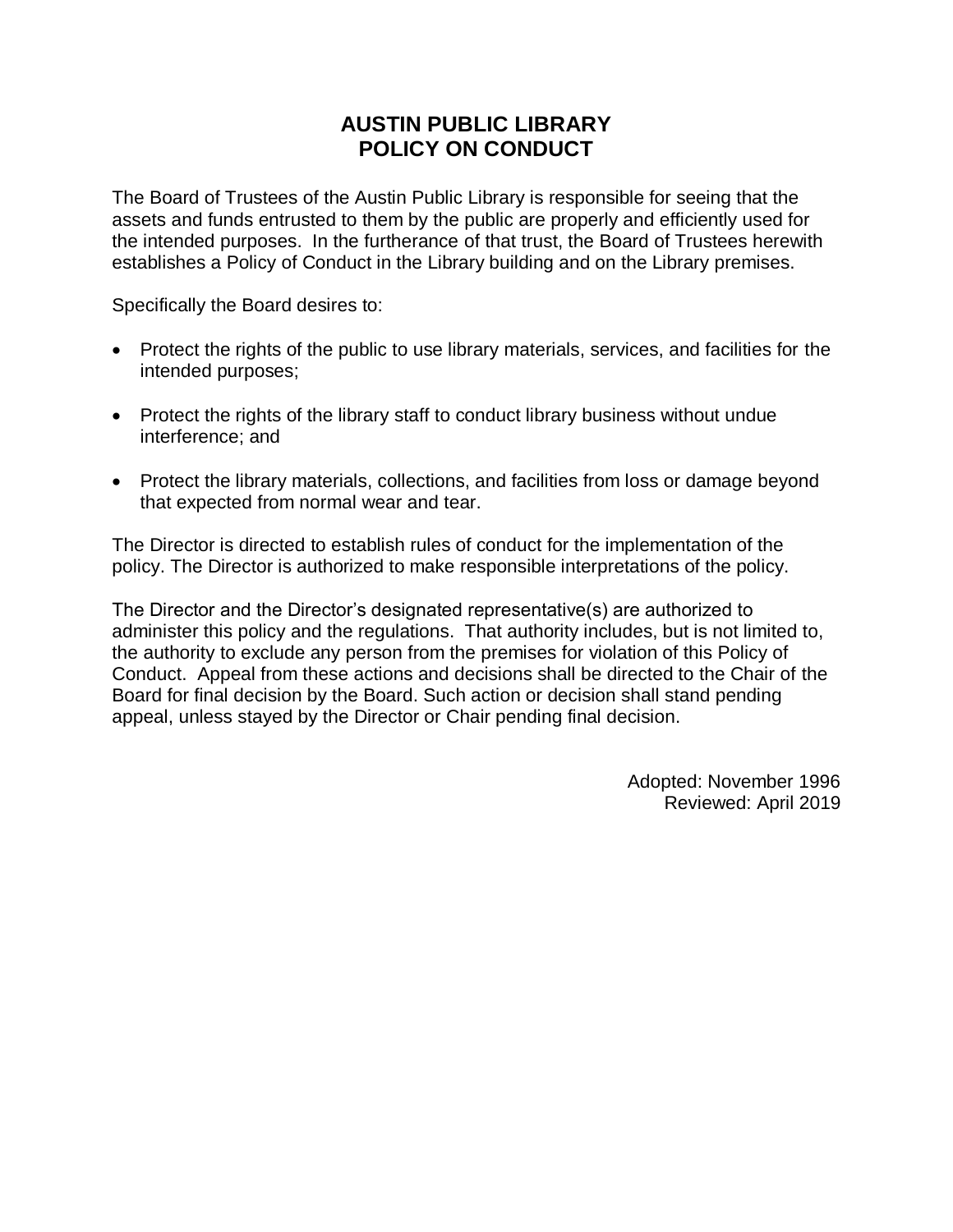### **AUSTIN PUBLIC LIBRARY POLICY ON CONDUCT**

The Board of Trustees of the Austin Public Library is responsible for seeing that the assets and funds entrusted to them by the public are properly and efficiently used for the intended purposes. In the furtherance of that trust, the Board of Trustees herewith establishes a Policy of Conduct in the Library building and on the Library premises.

Specifically the Board desires to:

- Protect the rights of the public to use library materials, services, and facilities for the intended purposes;
- Protect the rights of the library staff to conduct library business without undue interference; and
- Protect the library materials, collections, and facilities from loss or damage beyond that expected from normal wear and tear.

The Director is directed to establish rules of conduct for the implementation of the policy. The Director is authorized to make responsible interpretations of the policy.

The Director and the Director's designated representative(s) are authorized to administer this policy and the regulations. That authority includes, but is not limited to, the authority to exclude any person from the premises for violation of this Policy of Conduct. Appeal from these actions and decisions shall be directed to the Chair of the Board for final decision by the Board. Such action or decision shall stand pending appeal, unless stayed by the Director or Chair pending final decision.

> Adopted: November 1996 Reviewed: April 2019